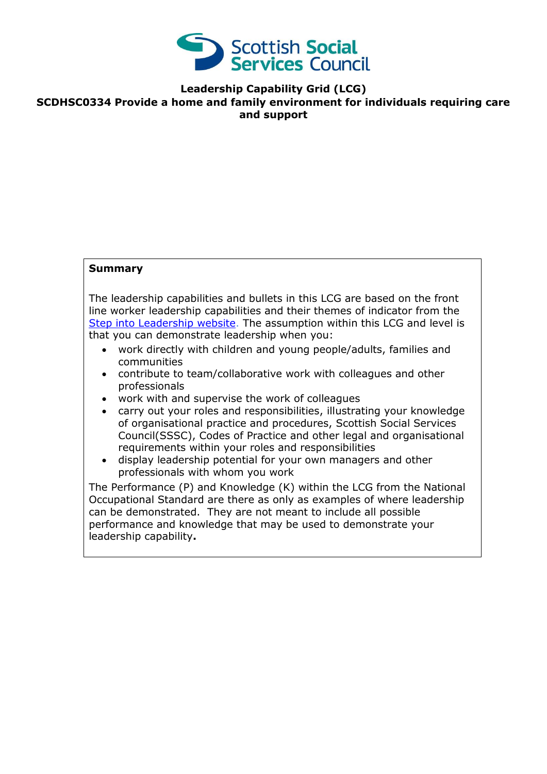

**Leadership Capability Grid (LCG)**

**SCDHSC0334 Provide a home and family environment for individuals requiring care and support**

### **Summary**

The leadership capabilities and bullets in this LCG are based on the front line worker leadership capabilities and their themes of indicator from the [Step into Leadership website.](http://www.stepintoleadership.info/) The assumption within this LCG and level is that you can demonstrate leadership when you:

- work directly with children and young people/adults, families and communities
- contribute to team/collaborative work with colleagues and other professionals
- work with and supervise the work of colleagues
- carry out your roles and responsibilities, illustrating your knowledge of organisational practice and procedures, Scottish Social Services Council(SSSC), Codes of Practice and other legal and organisational requirements within your roles and responsibilities
- display leadership potential for your own managers and other professionals with whom you work

The Performance (P) and Knowledge (K) within the LCG from the National Occupational Standard are there as only as examples of where leadership can be demonstrated. They are not meant to include all possible performance and knowledge that may be used to demonstrate your leadership capability**.**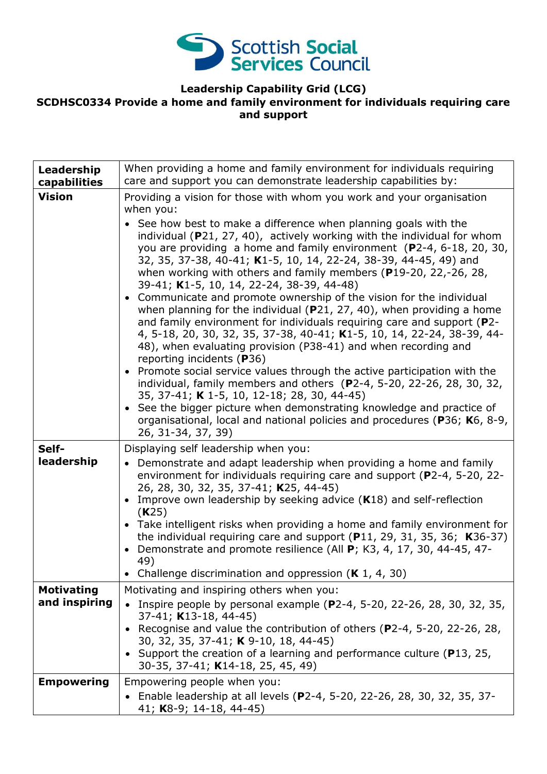

## **Leadership Capability Grid (LCG)**

#### **SCDHSC0334 Provide a home and family environment for individuals requiring care and support**

| Leadership<br>capabilities         | When providing a home and family environment for individuals requiring<br>care and support you can demonstrate leadership capabilities by:                                                                                                                                                                                                                                                                                                                                                                                                                                                                                                                                                                                                                                                                                                                                                                                                                                                                                                                                                                                                                                                                                                                                                  |
|------------------------------------|---------------------------------------------------------------------------------------------------------------------------------------------------------------------------------------------------------------------------------------------------------------------------------------------------------------------------------------------------------------------------------------------------------------------------------------------------------------------------------------------------------------------------------------------------------------------------------------------------------------------------------------------------------------------------------------------------------------------------------------------------------------------------------------------------------------------------------------------------------------------------------------------------------------------------------------------------------------------------------------------------------------------------------------------------------------------------------------------------------------------------------------------------------------------------------------------------------------------------------------------------------------------------------------------|
| <b>Vision</b>                      | Providing a vision for those with whom you work and your organisation<br>when you:<br>• See how best to make a difference when planning goals with the<br>individual ( $P$ 21, 27, 40), actively working with the individual for whom<br>you are providing a home and family environment (P2-4, 6-18, 20, 30,<br>32, 35, 37-38, 40-41; K1-5, 10, 14, 22-24, 38-39, 44-45, 49) and<br>when working with others and family members (P19-20, 22,-26, 28,<br>39-41; K1-5, 10, 14, 22-24, 38-39, 44-48)<br>• Communicate and promote ownership of the vision for the individual<br>when planning for the individual ( $P$ 21, 27, 40), when providing a home<br>and family environment for individuals requiring care and support (P2-<br>4, 5-18, 20, 30, 32, 35, 37-38, 40-41; K1-5, 10, 14, 22-24, 38-39, 44-<br>48), when evaluating provision (P38-41) and when recording and<br>reporting incidents (P36)<br>• Promote social service values through the active participation with the<br>individual, family members and others (P2-4, 5-20, 22-26, 28, 30, 32,<br>35, 37-41; K 1-5, 10, 12-18; 28, 30, 44-45)<br>• See the bigger picture when demonstrating knowledge and practice of<br>organisational, local and national policies and procedures (P36; K6, 8-9,<br>26, 31-34, 37, 39) |
| Self-<br>leadership                | Displaying self leadership when you:<br>• Demonstrate and adapt leadership when providing a home and family<br>environment for individuals requiring care and support (P2-4, 5-20, 22-<br>26, 28, 30, 32, 35, 37-41; K25, 44-45)<br>Improve own leadership by seeking advice $(K18)$ and self-reflection<br>$\bullet$<br>(K25)<br>• Take intelligent risks when providing a home and family environment for<br>the individual requiring care and support $(P11, 29, 31, 35, 36; K36-37)$<br>Demonstrate and promote resilience (All P; K3, 4, 17, 30, 44-45, 47-<br>49)<br>Challenge discrimination and oppression $(K 1, 4, 30)$                                                                                                                                                                                                                                                                                                                                                                                                                                                                                                                                                                                                                                                           |
| <b>Motivating</b><br>and inspiring | Motivating and inspiring others when you:<br>Inspire people by personal example (P2-4, 5-20, 22-26, 28, 30, 32, 35,<br>$37-41$ ; K13-18, 44-45)<br>Recognise and value the contribution of others (P2-4, 5-20, 22-26, 28,<br>30, 32, 35, 37-41; K 9-10, 18, 44-45)<br>• Support the creation of a learning and performance culture (P13, 25,<br>30-35, 37-41; K14-18, 25, 45, 49)                                                                                                                                                                                                                                                                                                                                                                                                                                                                                                                                                                                                                                                                                                                                                                                                                                                                                                           |
| <b>Empowering</b>                  | Empowering people when you:<br>• Enable leadership at all levels (P2-4, 5-20, 22-26, 28, 30, 32, 35, 37-<br>41; K8-9; 14-18, 44-45)                                                                                                                                                                                                                                                                                                                                                                                                                                                                                                                                                                                                                                                                                                                                                                                                                                                                                                                                                                                                                                                                                                                                                         |